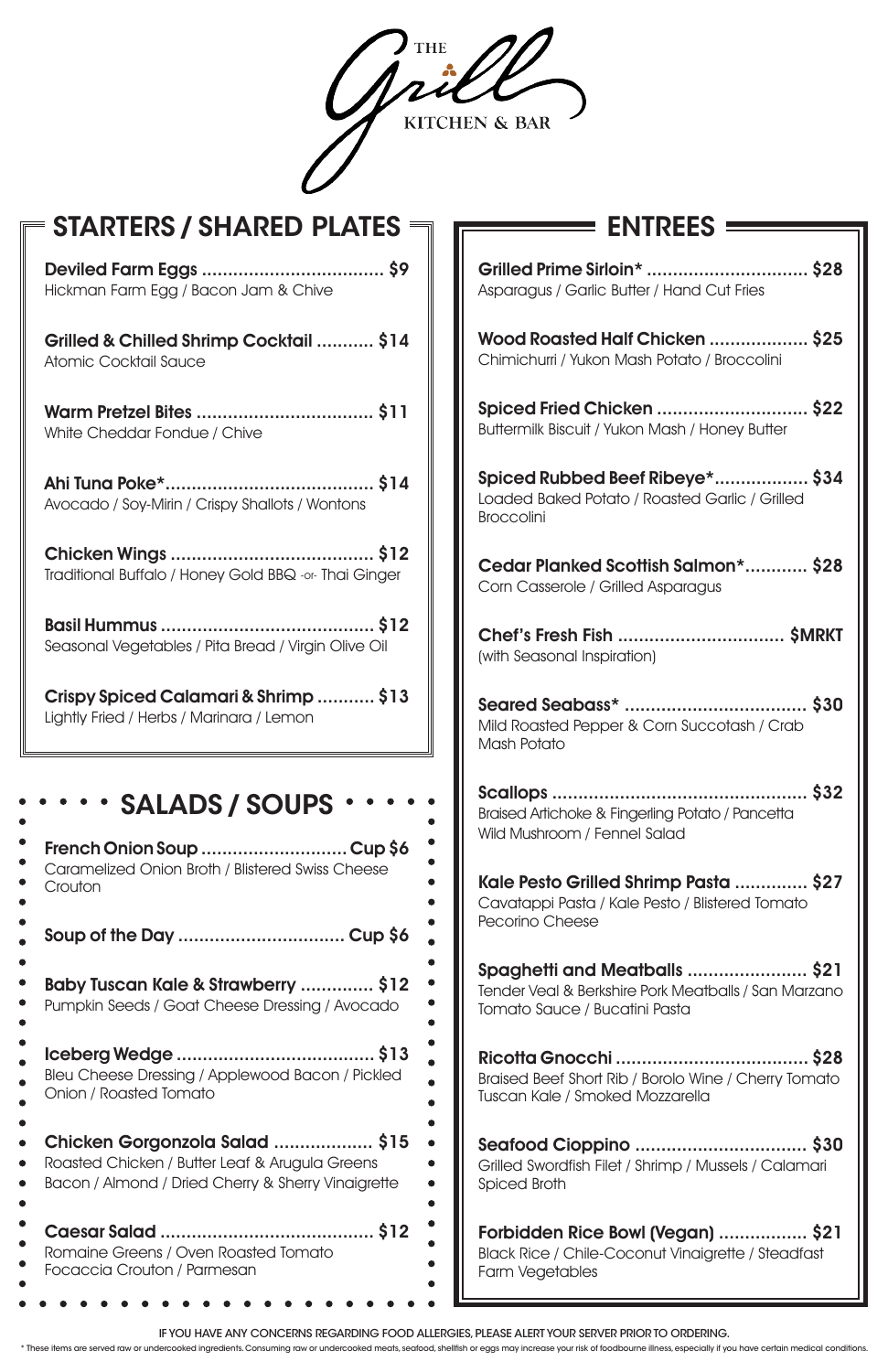| Grilled Prime Sirloin*  \$28<br>Asparagus / Garlic Butter / Hand Cut Fries                                             |
|------------------------------------------------------------------------------------------------------------------------|
| Wood Roasted Half Chicken  \$25<br>Chimichurri / Yukon Mash Potato / Broccolini                                        |
| Spiced Fried Chicken  \$22<br>Buttermilk Biscuit / Yukon Mash / Honey Butter                                           |
| <b>Spiced Rubbed Beef Ribeye* \$34</b><br>Loaded Baked Potato / Roasted Garlic / Grilled<br><b>Broccolini</b>          |
| Cedar Planked Scottish Salmon* \$28<br>Corn Casserole / Grilled Asparagus                                              |
| (with Seasonal Inspiration)                                                                                            |
| Mild Roasted Pepper & Corn Succotash / Crab<br><b>Mash Potato</b>                                                      |
| Braised Artichoke & Fingerling Potato / Pancetta<br>Wild Mushroom / Fennel Salad                                       |
| Kale Pesto Grilled Shrimp Pasta  \$27<br>Cavatappi Pasta / Kale Pesto / Blistered Tomato<br><b>Pecorino Cheese</b>     |
| Spaghetti and Meatballs  \$21<br>Tender Veal & Berkshire Pork Meatballs / San Marzano<br>Tomato Sauce / Bucatini Pasta |

THE KITCHEN & BAR

| <b>STARTERS / SHARED PLATES</b>                                                                                   | EN                                                                                 |
|-------------------------------------------------------------------------------------------------------------------|------------------------------------------------------------------------------------|
| Hickman Farm Egg / Bacon Jam & Chive                                                                              | Grilled Prime Sirloin*<br>Asparagus / Garlic Butte                                 |
| Grilled & Chilled Shrimp Cocktail  \$14<br>Atomic Cocktail Sauce                                                  | <b>Wood Roasted Half (</b><br>Chimichurri / Yukon Mas                              |
| White Cheddar Fondue / Chive                                                                                      | <b>Spiced Fried Chicke</b><br><b>Buttermilk Biscuit / Yukon</b>                    |
| Avocado / Soy-Mirin / Crispy Shallots / Wontons                                                                   | <b>Spiced Rubbed Beet</b><br>Loaded Baked Potato /<br><b>Broccolini</b>            |
| Traditional Buffalo / Honey Gold BBQ -or- Thai Ginger                                                             | <b>Cedar Planked Scot</b><br>Corn Casserole / Grilled                              |
| Seasonal Vegetables / Pita Bread / Virgin Olive Oil                                                               | Chef's Fresh Fish<br>(with Seasonal Inspiratio                                     |
| Crispy Spiced Calamari & Shrimp  \$13<br>Lightly Fried / Herbs / Marinara / Lemon                                 | <b>Seared Seabass* </b><br>Mild Roasted Pepper &<br>Mash Potato                    |
| <b>SALADS / SOUPS</b>                                                                                             | <b>Scallops </b><br><b>Braised Artichoke &amp; Finge</b><br>Wild Mushroom / Fennel |
| Caramelized Onion Broth / Blistered Swiss Cheese<br>Crouton                                                       | <b>Kale Pesto Grilled Sh</b><br>Cavatappi Pasta / Kale<br>Pecorino Cheese          |
| Soup of the Day  Cup \$6<br>Baby Tuscan Kale & Strawberry  \$12<br>Pumplin Soods / Coat Choose Drossing / Avecado | <b>Spaghetti and Meat</b><br>Tender Veal & Berkshire I                             |

# TREES =

| Pumpkin Seeds / Goat Cheese Dressing / Avocado     | Tomato Sauce / Bucatini Pasta                         |
|----------------------------------------------------|-------------------------------------------------------|
|                                                    |                                                       |
| Bleu Cheese Dressing / Applewood Bacon / Pickled   | Braised Beef Short Rib / Borolo Wine / Cherry Tomato  |
| Onion / Roasted Tomato                             | Tuscan Kale / Smoked Mozzarella                       |
| Chicken Gorgonzola Salad  \$15                     |                                                       |
| Roasted Chicken / Butter Leaf & Arugula Greens     | Grilled Swordfish Filet / Shrimp / Mussels / Calamari |
| Bacon / Almond / Dried Cherry & Sherry Vinaigrette | <b>Spiced Broth</b>                                   |
|                                                    | Forbidden Rice Bowl (Vegan)  \$21                     |
| Romaine Greens / Oven Roasted Tomato               | Black Rice / Chile-Coconut Vinaigrette / Steadfast    |
| Focaccia Crouton / Parmesan                        | <b>Farm Vegetables</b>                                |

IF YOU HAVE ANY CONCERNS REGARDING FOOD ALLERGIES, PLEASE ALERT YOUR SERVER PRIOR TO ORDERING.

\* These items are served raw or undercooked ingredients. Consuming raw or undercooked meats, seafood, shellfish or eggs may increase your risk of foodbourne illness, especially if you have certain medical conditions.